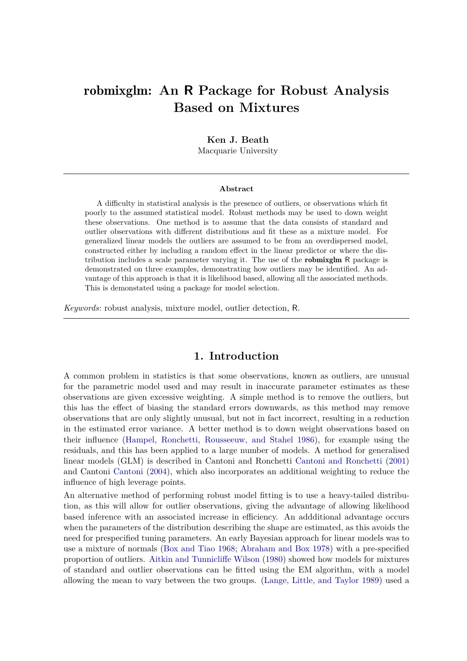# robmixglm**: An R Package for Robust Analysis Based on Mixtures**

#### **Ken J. Beath**

Macquarie University

#### **Abstract**

A difficulty in statistical analysis is the presence of outliers, or observations which fit poorly to the assumed statistical model. Robust methods may be used to down weight these observations. One method is to assume that the data consists of standard and outlier observations with different distributions and fit these as a mixture model. For generalized linear models the outliers are assumed to be from an overdispersed model, constructed either by including a random effect in the linear predictor or where the distribution includes a scale parameter varying it. The use of the robmixglm R package is demonstrated on three examples, demonstrating how outliers may be identified. An advantage of this approach is that it is likelihood based, allowing all the associated methods. This is demonstated using a package for model selection.

*Keywords*: robust analysis, mixture model, outlier detection, R.

## **1. Introduction**

A common problem in statistics is that some observations, known as outliers, are unusual for the parametric model used and may result in inaccurate parameter estimates as these observations are given excessive weighting. A simple method is to remove the outliers, but this has the effect of biasing the standard errors downwards, as this method may remove observations that are only slightly unusual, but not in fact incorrect, resulting in a reduction in the estimated error variance. A better method is to down weight observations based on their influence [\(Hampel, Ronchetti, Rousseeuw, and Stahel 1986\)](#page-16-0), for example using the residuals, and this has been applied to a large number of models. A method for generalised linear models (GLM) is described in Cantoni and Ronchetti [Cantoni and Ronchetti](#page-16-1) [\(2001\)](#page-16-1) and Cantoni [Cantoni](#page-16-2) [\(2004\)](#page-16-2), which also incorporates an additional weighting to reduce the influence of high leverage points.

An alternative method of performing robust model fitting is to use a heavy-tailed distribution, as this will allow for outlier observations, giving the advantage of allowing likelihood based inference with an associated increase in efficiency. An addditional advantage occurs when the parameters of the distribution describing the shape are estimated, as this avoids the need for prespecified tuning parameters. An early Bayesian approach for linear models was to use a mixture of normals [\(Box and Tiao 1968;](#page-16-3) [Abraham and Box 1978\)](#page-16-4) with a pre-specified proportion of outliers. [Aitkin and Tunnicliffe Wilson](#page-16-5) [\(1980\)](#page-16-5) showed how models for mixtures of standard and outlier observations can be fitted using the EM algorithm, with a model allowing the mean to vary between the two groups. [\(Lange, Little, and Taylor 1989\)](#page-16-6) used a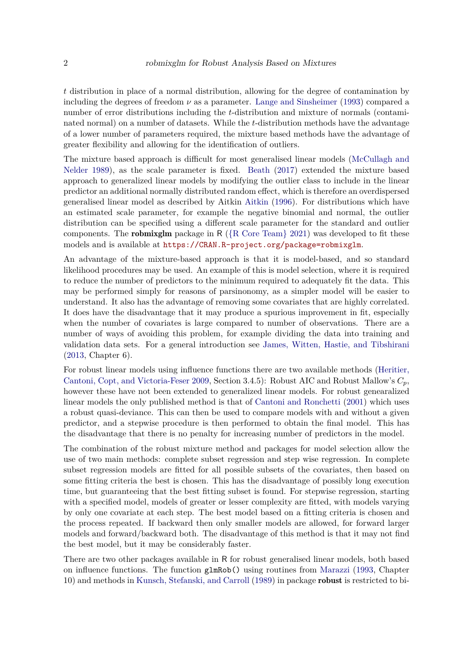*t* distribution in place of a normal distribution, allowing for the degree of contamination by including the degrees of freedom *ν* as a parameter. [Lange and Sinsheimer](#page-16-7) [\(1993\)](#page-16-7) compared a number of error distributions including the *t*-distribution and mixture of normals (contaminated normal) on a number of datasets. While the *t*-distribution methods have the advantage of a lower number of parameters required, the mixture based methods have the advantage of greater flexibility and allowing for the identification of outliers.

The mixture based approach is difficult for most generalised linear models [\(McCullagh and](#page-17-0) [Nelder 1989\)](#page-17-0), as the scale parameter is fixed. [Beath](#page-16-8)  $(2017)$  extended the mixture based approach to generalized linear models by modifying the outlier class to include in the linear predictor an additional normally distributed random effect, which is therefore an overdispersed generalised linear model as described by Aitkin [Aitkin](#page-16-9) [\(1996\)](#page-16-9). For distributions which have an estimated scale parameter, for example the negative binomial and normal, the outlier distribution can be specified using a different scale parameter for the standard and outlier components. The **robmixglm** package in  $R(\{R \text{ Core Team}\}\ 2021)$  was developed to fit these models and is available at <https://CRAN.R-project.org/package=robmixglm>.

An advantage of the mixture-based approach is that it is model-based, and so standard likelihood procedures may be used. An example of this is model selection, where it is required to reduce the number of predictors to the minimum required to adequately fit the data. This may be performed simply for reasons of parsinonomy, as a simpler model will be easier to understand. It also has the advantage of removing some covariates that are highly correlated. It does have the disadvantage that it may produce a spurious improvement in fit, especially when the number of covariates is large compared to number of observations. There are a number of ways of avoiding this problem, for example dividing the data into training and validation data sets. For a general introduction see [James, Witten, Hastie, and Tibshirani](#page-16-10) [\(2013,](#page-16-10) Chapter 6).

For robust linear models using influence functions there are two available methods [\(Heritier,](#page-16-11) [Cantoni, Copt, and Victoria-Feser 2009,](#page-16-11) Section 3.4.5): Robust AIC and Robust Mallow's  $C_p$ , however these have not been extended to generalized linear models. For robust genearalized linear models the only published method is that of [Cantoni and Ronchetti](#page-16-1) [\(2001\)](#page-16-1) which uses a robust quasi-deviance. This can then be used to compare models with and without a given predictor, and a stepwise procedure is then performed to obtain the final model. This has the disadvantage that there is no penalty for increasing number of predictors in the model.

The combination of the robust mixture method and packages for model selection allow the use of two main methods: complete subset regression and step wise regression. In complete subset regression models are fitted for all possible subsets of the covariates, then based on some fitting criteria the best is chosen. This has the disadvantage of possibly long execution time, but guaranteeing that the best fitting subset is found. For stepwise regression, starting with a specified model, models of greater or lesser complexity are fitted, with models varying by only one covariate at each step. The best model based on a fitting criteria is chosen and the process repeated. If backward then only smaller models are allowed, for forward larger models and forward/backward both. The disadvantage of this method is that it may not find the best model, but it may be considerably faster.

There are two other packages available in R for robust generalised linear models, both based on influence functions. The function glmRob() using routines from [Marazzi](#page-17-2) [\(1993,](#page-17-2) Chapter 10) and methods in [Kunsch, Stefanski, and Carroll](#page-16-12) [\(1989\)](#page-16-12) in package robust is restricted to bi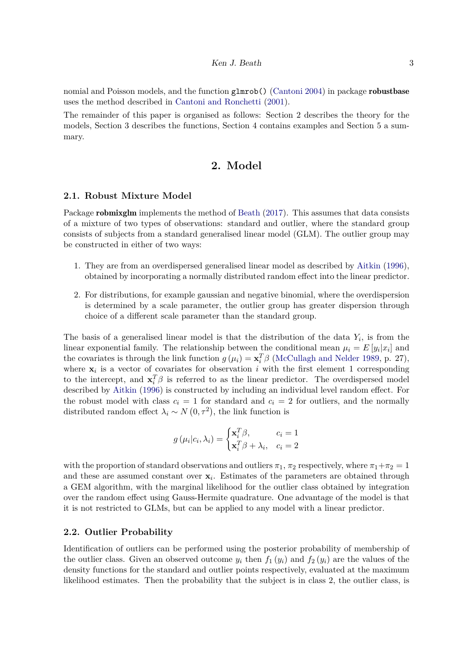nomial and Poisson models, and the function glmrob() [\(Cantoni 2004\)](#page-16-2) in package robustbase uses the method described in [Cantoni and Ronchetti](#page-16-1) [\(2001\)](#page-16-1).

The remainder of this paper is organised as follows: Section 2 describes the theory for the models, Section 3 describes the functions, Section 4 contains examples and Section 5 a summary.

# **2. Model**

#### **2.1. Robust Mixture Model**

Package **robmixglm** implements the method of [Beath](#page-16-8) [\(2017\)](#page-16-8). This assumes that data consists of a mixture of two types of observations: standard and outlier, where the standard group consists of subjects from a standard generalised linear model (GLM). The outlier group may be constructed in either of two ways:

- 1. They are from an overdispersed generalised linear model as described by [Aitkin](#page-16-9) [\(1996\)](#page-16-9), obtained by incorporating a normally distributed random effect into the linear predictor.
- 2. For distributions, for example gaussian and negative binomial, where the overdispersion is determined by a scale parameter, the outlier group has greater dispersion through choice of a different scale parameter than the standard group.

The basis of a generalised linear model is that the distribution of the data  $Y_i$ , is from the linear exponential family. The relationship between the conditional mean  $\mu_i = E[y_i|x_i]$  and the covariates is through the link function  $g(\mu_i) = \mathbf{x}_i^T \beta$  [\(McCullagh and Nelder 1989,](#page-17-0) p. 27), where  $\mathbf{x}_i$  is a vector of covariates for observation *i* with the first element 1 corresponding to the intercept, and  $\mathbf{x}_i^T \boldsymbol{\beta}$  is referred to as the linear predictor. The overdispersed model described by [Aitkin](#page-16-9) [\(1996\)](#page-16-9) is constructed by including an individual level random effect. For the robust model with class  $c_i = 1$  for standard and  $c_i = 2$  for outliers, and the normally distributed random effect  $\lambda_i \sim N(0, \tau^2)$ , the link function is

$$
g(\mu_i|c_i, \lambda_i) = \begin{cases} \mathbf{x}_i^T \beta, & c_i = 1\\ \mathbf{x}_i^T \beta + \lambda_i, & c_i = 2 \end{cases}
$$

with the proportion of standard observations and outliers  $\pi_1$ ,  $\pi_2$  respectively, where  $\pi_1 + \pi_2 = 1$ and these are assumed constant over  $x_i$ . Estimates of the parameters are obtained through a GEM algorithm, with the marginal likelihood for the outlier class obtained by integration over the random effect using Gauss-Hermite quadrature. One advantage of the model is that it is not restricted to GLMs, but can be applied to any model with a linear predictor.

### **2.2. Outlier Probability**

Identification of outliers can be performed using the posterior probability of membership of the outlier class. Given an observed outcome  $y_i$  then  $f_1(y_i)$  and  $f_2(y_i)$  are the values of the density functions for the standard and outlier points respectively, evaluated at the maximum likelihood estimates. Then the probability that the subject is in class 2, the outlier class, is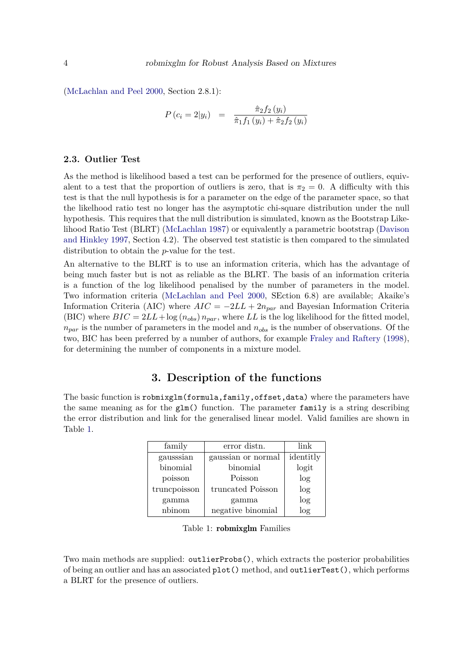[\(McLachlan and Peel 2000,](#page-17-3) Section 2.8.1):

$$
P(c_i = 2|y_i) = \frac{\hat{\pi}_2 f_2(y_i)}{\hat{\pi}_1 f_1(y_i) + \hat{\pi}_2 f_2(y_i)}
$$

### **2.3. Outlier Test**

As the method is likelihood based a test can be performed for the presence of outliers, equivalent to a test that the proportion of outliers is zero, that is  $\pi_2 = 0$ . A difficulty with this test is that the null hypothesis is for a parameter on the edge of the parameter space, so that the likelhood ratio test no longer has the asymptotic chi-square distribution under the null hypothesis. This requires that the null distribution is simulated, known as the Bootstrap Likelihood Ratio Test (BLRT) [\(McLachlan 1987\)](#page-17-4) or equivalently a parametric bootstrap [\(Davison](#page-16-13) [and Hinkley 1997,](#page-16-13) Section 4.2). The observed test statistic is then compared to the simulated distribution to obtain the *p*-value for the test.

An alternative to the BLRT is to use an information criteria, which has the advantage of being much faster but is not as reliable as the BLRT. The basis of an information criteria is a function of the log likelihood penalised by the number of parameters in the model. Two information criteria [\(McLachlan and Peel 2000,](#page-17-3) SEction 6.8) are available; Akaike's Information Criteria (AIC) where *AIC* = −2*LL* + 2*npar* and Bayesian Information Criteria (BIC) where  $BIC = 2LL + \log(n_{obs}) n_{par}$ , where LL is the log likelihood for the fitted model,  $n_{par}$  is the number of parameters in the model and  $n_{obs}$  is the number of observations. Of the two, BIC has been preferred by a number of authors, for example [Fraley and Raftery](#page-16-14) [\(1998\)](#page-16-14), for determining the number of components in a mixture model.

# **3. Description of the functions**

The basic function is robmixglm(formula,family,offset,data) where the parameters have the same meaning as for the  $glm()$  function. The parameter family is a string describing the error distribution and link for the generalised linear model. Valid families are shown in Table [1.](#page-3-0)

| family       | error distn.       | link      |  |
|--------------|--------------------|-----------|--|
| gausssian    | gaussian or normal | identitly |  |
| binomial     | binomial           | logit     |  |
| poisson      | Poisson            | log       |  |
| truncpoisson | truncated Poisson  | log       |  |
| gamma        | gamma              | log       |  |
| nbinom       | negative binomial  | log       |  |

<span id="page-3-0"></span>Table 1: robmixglm Families

Two main methods are supplied: outlierProbs(), which extracts the posterior probabilities of being an outlier and has an associated plot() method, and outlierTest(), which performs a BLRT for the presence of outliers.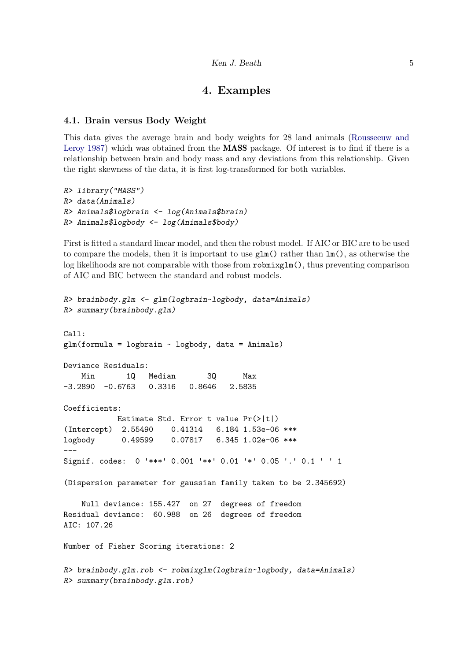# **4. Examples**

#### **4.1. Brain versus Body Weight**

This data gives the average brain and body weights for 28 land animals [\(Rousseeuw and](#page-17-5) [Leroy 1987\)](#page-17-5) which was obtained from the MASS package. Of interest is to find if there is a relationship between brain and body mass and any deviations from this relationship. Given the right skewness of the data, it is first log-transformed for both variables.

```
R> library("MASS")
R> data(Animals)
R> Animals$logbrain <- log(Animals$brain)
R> Animals$logbody <- log(Animals$body)
```
First is fitted a standard linear model, and then the robust model. If AIC or BIC are to be used to compare the models, then it is important to use glm() rather than lm(), as otherwise the log likelihoods are not comparable with those from  $\texttt{robmixglm}()$ , thus preventing comparison of AIC and BIC between the standard and robust models.

```
R> brainbody.glm <- glm(logbrain~logbody, data=Animals)
R> summary(brainbody.glm)
C_{2}11\cdotglm(formula = logbrain ~ logbody, data = Animals)Deviance Residuals:
   Min 1Q Median 3Q Max
-3.2890 -0.6763 0.3316 0.8646 2.5835
Coefficients:
           Estimate Std. Error t value Pr(>|t|)
(Intercept) 2.55490 0.41314 6.184 1.53e-06 ***
logbody 0.49599 0.07817 6.345 1.02e-06 ***
---
Signif. codes: 0 '***' 0.001 '**' 0.01 '*' 0.05 '.' 0.1 ' ' 1
(Dispersion parameter for gaussian family taken to be 2.345692)
   Null deviance: 155.427 on 27 degrees of freedom
Residual deviance: 60.988 on 26 degrees of freedom
AIC: 107.26
Number of Fisher Scoring iterations: 2
R> brainbody.glm.rob <- robmixglm(logbrain~logbody, data=Animals)
R> summary(brainbody.glm.rob)
```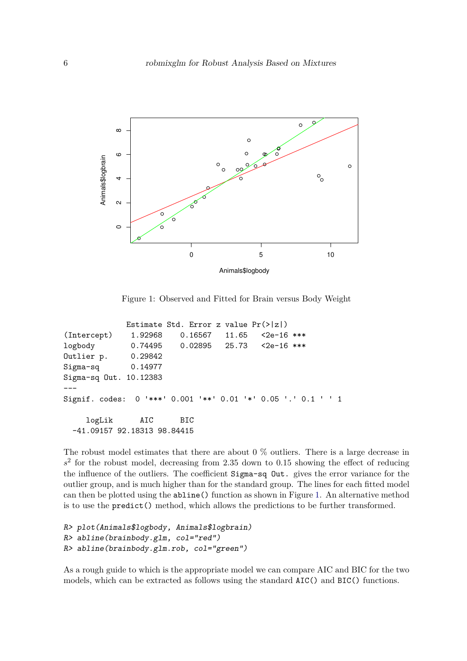

<span id="page-5-0"></span>Figure 1: Observed and Fitted for Brain versus Body Weight

```
Estimate Std. Error z value Pr(>|z|)
(Intercept) 1.92968 0.16567 11.65 <2e-16 ***
logbody 0.74495 0.02895 25.73 <2e-16 ***
Outlier p. 0.29842
Sigma-sq 0.14977
Sigma-sq Out. 10.12383
---
Signif. codes: 0 '***' 0.001 '**' 0.01 '*' 0.05 '.' 0.1 ' ' 1
    logLik AIC BIC
 -41.09157 92.18313 98.84415
```
The robust model estimates that there are about 0 % outliers. There is a large decrease in  $s<sup>2</sup>$  for the robust model, decreasing from 2.35 down to 0.15 showing the effect of reducing the influence of the outliers. The coefficient Sigma-sq Out. gives the error variance for the outlier group, and is much higher than for the standard group. The lines for each fitted model can then be plotted using the abline() function as shown in Figure [1.](#page-5-0) An alternative method is to use the predict() method, which allows the predictions to be further transformed.

```
R> plot(Animals$logbody, Animals$logbrain)
R> abline(brainbody.glm, col="red")
R> abline(brainbody.glm.rob, col="green")
```
As a rough guide to which is the appropriate model we can compare AIC and BIC for the two models, which can be extracted as follows using the standard AIC() and BIC() functions.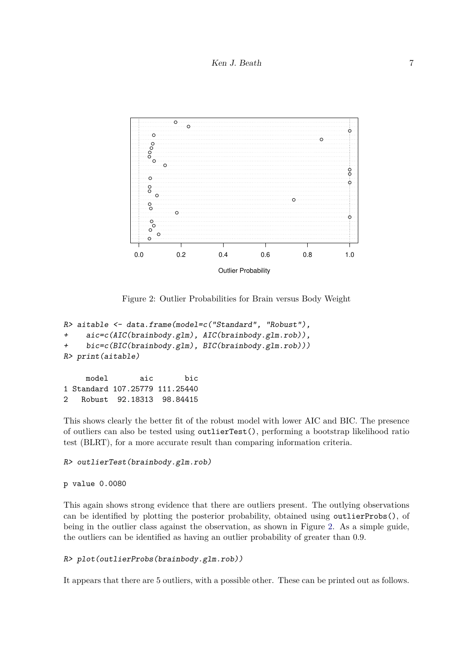

<span id="page-6-0"></span>Figure 2: Outlier Probabilities for Brain versus Body Weight

```
R> aitable <- data.frame(model=c("Standard", "Robust"),
+ aic=c(AIC(brainbody.glm), AIC(brainbody.glm.rob)),
+ bic=c(BIC(brainbody.glm), BIC(brainbody.glm.rob)))
R> print(aitable)
```
model aic bic 1 Standard 107.25779 111.25440 2 Robust 92.18313 98.84415

This shows clearly the better fit of the robust model with lower AIC and BIC. The presence of outliers can also be tested using outlierTest(), performing a bootstrap likelihood ratio test (BLRT), for a more accurate result than comparing information criteria.

*R> outlierTest(brainbody.glm.rob)*

```
p value 0.0080
```
This again shows strong evidence that there are outliers present. The outlying observations can be identified by plotting the posterior probability, obtained using outlierProbs(), of being in the outlier class against the observation, as shown in Figure [2.](#page-6-0) As a simple guide, the outliers can be identified as having an outlier probability of greater than 0.9.

### *R> plot(outlierProbs(brainbody.glm.rob))*

It appears that there are 5 outliers, with a possible other. These can be printed out as follows.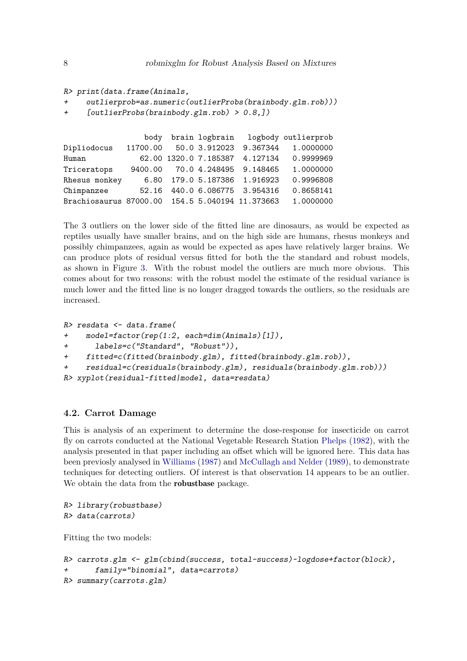```
R> print(data.frame(Animals,
```

```
+ outlierprob=as.numeric(outlierProbs(brainbody.glm.rob)))
```

```
+ [outlierProbs(brainbody.glm.rob) > 0.8,])
```
body brain logbrain logbody outlierprob Dipliodocus 11700.00 50.0 3.912023 9.367344 1.0000000 Human 62.00 1320.0 7.185387 4.127134 0.9999969 Triceratops 9400.00 70.0 4.248495 9.148465 1.0000000 Rhesus monkey 6.80 179.0 5.187386 1.916923 0.9996808 Chimpanzee 52.16 440.0 6.086775 3.954316 0.8658141 Brachiosaurus 87000.00 154.5 5.040194 11.373663 1.0000000

The 3 outliers on the lower side of the fitted line are dinosaurs, as would be expected as reptiles usually have smaller brains, and on the high side are humans, rhesus monkeys and possibly chimpanzees, again as would be expected as apes have relatively larger brains. We can produce plots of residual versus fitted for both the the standard and robust models, as shown in Figure [3.](#page-8-0) With the robust model the outliers are much more obvious. This comes about for two reasons: with the robust model the estimate of the residual variance is much lower and the fitted line is no longer dragged towards the outliers, so the residuals are increased.

```
R> resdata <- data.frame(
+ model=factor(rep(1:2, each=dim(Animals)[1]),
+ labels=c("Standard", "Robust")),
+ fitted=c(fitted(brainbody.glm), fitted(brainbody.glm.rob)),
+ residual=c(residuals(brainbody.glm), residuals(brainbody.glm.rob)))
R> xyplot(residual~fitted|model, data=resdata)
```
### **4.2. Carrot Damage**

This is analysis of an experiment to determine the dose-response for insecticide on carrot fly on carrots conducted at the National Vegetable Research Station [Phelps](#page-17-6) [\(1982\)](#page-17-6), with the analysis presented in that paper including an offset which will be ignored here. This data has been previosly analysed in [Williams](#page-17-7) [\(1987\)](#page-17-7) and [McCullagh and Nelder](#page-17-0) [\(1989\)](#page-17-0), to demonstrate techniques for detecting outliers. Of interest is that observation 14 appears to be an outlier. We obtain the data from the robustbase package.

```
R> library(robustbase)
R> data(carrots)
```
Fitting the two models:

```
R> carrots.glm <- glm(cbind(success, total-success)~logdose+factor(block),
+ family="binomial", data=carrots)
R> summary(carrots.glm)
```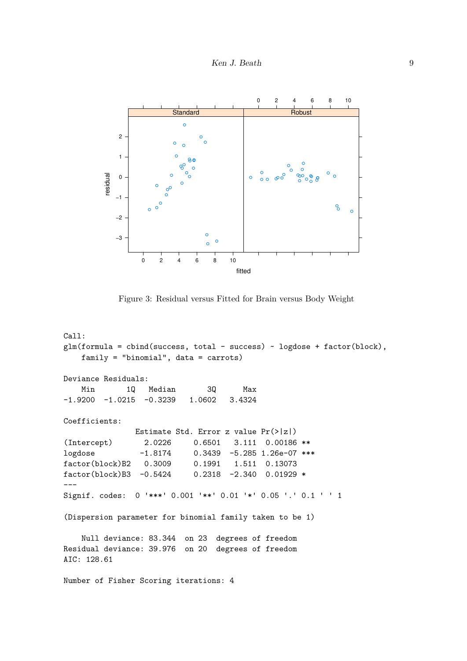

<span id="page-8-0"></span>Figure 3: Residual versus Fitted for Brain versus Body Weight

```
Call:
glm(formula = cbind(success, total - success) ~ logdose + factor(block),
   family = "binomial", data = carrots)
Deviance Residuals:
   Min 1Q Median 3Q Max
-1.9200 -1.0215 -0.3239 1.0602 3.4324Coefficients:
              Estimate Std. Error z value Pr(>|z|)
(Intercept) 2.0226 0.6501 3.111 0.00186 **
logdose -1.8174 0.3439 -5.285 1.26e-07 ***
factor(block)B2 0.3009 0.1991 1.511 0.13073
factor(block)B3 -0.5424 0.2318 -2.340 0.01929 *
---
Signif. codes: 0 '***' 0.001 '**' 0.01 '*' 0.05 '.' 0.1 ' ' 1
(Dispersion parameter for binomial family taken to be 1)
   Null deviance: 83.344 on 23 degrees of freedom
Residual deviance: 39.976 on 20 degrees of freedom
AIC: 128.61
Number of Fisher Scoring iterations: 4
```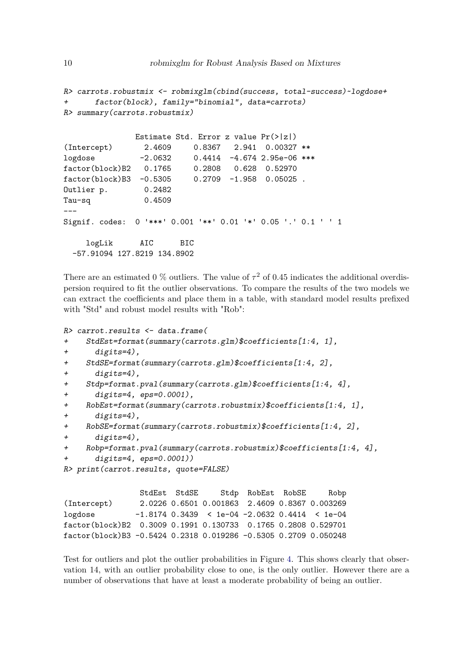```
R> carrots.robustmix <- robmixglm(cbind(success, total-success)~logdose+
+ factor(block), family="binomial", data=carrots)
R> summary(carrots.robustmix)
              Estimate Std. Error z value Pr(>|z|)
(Intercept) 2.4609 0.8367 2.941 0.00327 **
logdose -2.0632 0.4414 -4.674 2.95e-06 ***
factor(block)B2 0.1765 0.2808 0.628 0.52970
factor(block)B3 -0.5305 0.2709 -1.958 0.05025 .
Outlier p. 0.2482
Tau-sq 0.4509
---
Signif. codes: 0 '***' 0.001 '**' 0.01 '*' 0.05 '.' 0.1 ' ' 1
    logLik AIC BIC
 -57.91094 127.8219 134.8902
```
There are an estimated 0  $\%$  outliers. The value of  $\tau^2$  of 0.45 indicates the additional overdispersion required to fit the outlier observations. To compare the results of the two models we can extract the coefficients and place them in a table, with standard model results prefixed with "Std" and robust model results with "Rob":

```
R> carrot.results <- data.frame(
+ StdEst=format(summary(carrots.glm)$coefficients[1:4, 1],
+ digits=4),
+ StdSE=format(summary(carrots.glm)$coefficients[1:4, 2],
+ digits=4),
+ Stdp=format.pval(summary(carrots.glm)$coefficients[1:4, 4],
+ digits=4, eps=0.0001),
+ RobEst=format(summary(carrots.robustmix)$coefficients[1:4, 1],
+ digits=4),
+ RobSE=format(summary(carrots.robustmix)$coefficients[1:4, 2],
+ digits=4),
+ Robp=format.pval(summary(carrots.robustmix)$coefficients[1:4, 4],
      + digits=4, eps=0.0001))
R> print(carrot.results, quote=FALSE)
```
StdEst StdSE Stdp RobEst RobSE Robp (Intercept) 2.0226 0.6501 0.001863 2.4609 0.8367 0.003269 logdose -1.8174 0.3439 < 1e-04 -2.0632 0.4414 < 1e-04 factor(block)B2 0.3009 0.1991 0.130733 0.1765 0.2808 0.529701 factor(block)B3 -0.5424 0.2318 0.019286 -0.5305 0.2709 0.050248

Test for outliers and plot the outlier probabilities in Figure [4.](#page-10-0) This shows clearly that observation 14, with an outlier probability close to one, is the only outlier. However there are a number of observations that have at least a moderate probability of being an outlier.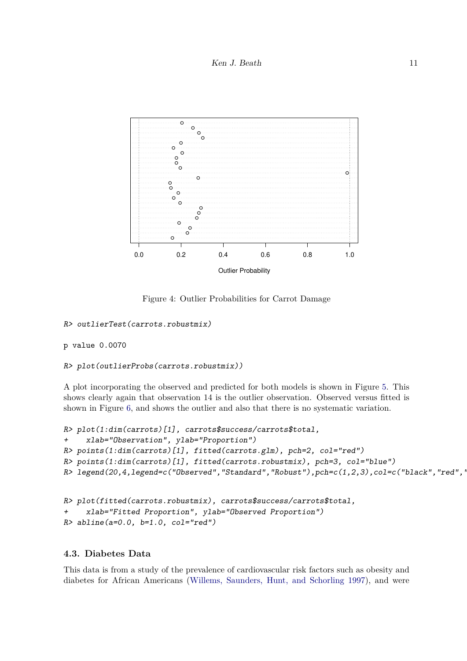

<span id="page-10-0"></span>Figure 4: Outlier Probabilities for Carrot Damage

```
R> outlierTest(carrots.robustmix)
```
p value 0.0070

```
R> plot(outlierProbs(carrots.robustmix))
```
A plot incorporating the observed and predicted for both models is shown in Figure [5.](#page-11-0) This shows clearly again that observation 14 is the outlier observation. Observed versus fitted is shown in Figure [6,](#page-11-1) and shows the outlier and also that there is no systematic variation.

```
R> plot(1:dim(carrots)[1], carrots$success/carrots$total,
     + xlab="Observation", ylab="Proportion")
R> points(1:dim(carrots)[1], fitted(carrots.glm), pch=2, col="red")
R> points(1:dim(carrots)[1], fitted(carrots.robustmix), pch=3, col="blue")
R> legend(20,4,legend=c("Observed","Standard","Robust"),pch=c(1,2,3),col=c("black","red","blue"))
R> plot(fitted(carrots.robustmix), carrots$success/carrots$total,
+ xlab="Fitted Proportion", ylab="Observed Proportion")
```

```
R> abline(a=0.0, b=1.0, col="red")
```
### **4.3. Diabetes Data**

This data is from a study of the prevalence of cardiovascular risk factors such as obesity and diabetes for African Americans [\(Willems, Saunders, Hunt, and Schorling 1997\)](#page-17-8), and were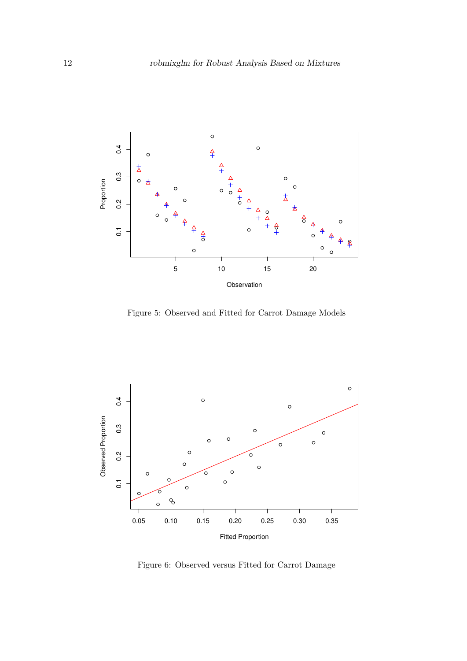

<span id="page-11-0"></span>Figure 5: Observed and Fitted for Carrot Damage Models



<span id="page-11-1"></span>Figure 6: Observed versus Fitted for Carrot Damage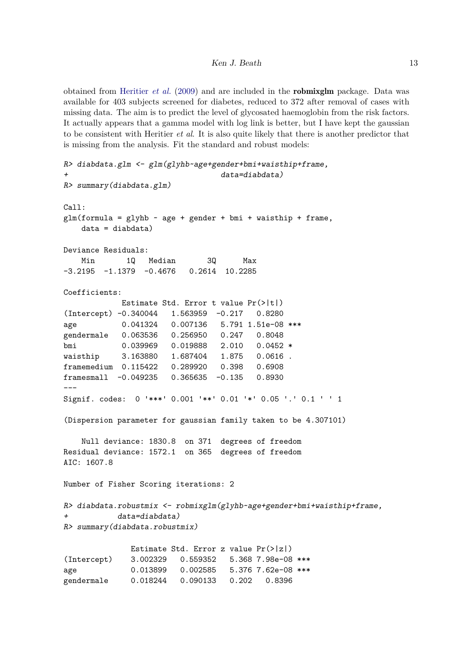obtained from [Heritier](#page-16-11) *et al.* [\(2009\)](#page-16-11) and are included in the robmixglm package. Data was available for 403 subjects screened for diabetes, reduced to 372 after removal of cases with missing data. The aim is to predict the level of glycosated haemoglobin from the risk factors. It actually appears that a gamma model with log link is better, but I have kept the gaussian to be consistent with Heritier *et al*. It is also quite likely that there is another predictor that is missing from the analysis. Fit the standard and robust models:

```
R> diabdata.glm <- glm(glyhb~age+gender+bmi+waisthip+frame,
                                + data=diabdata)
R> summary(diabdata.glm)
Call:
glm(formula = glyhb - age + gender + bmi + waisthip + frame,data = diabdata)
Deviance Residuals:
   Min 1Q Median 3Q Max
-3.2195 -1.1379 -0.4676 0.2614 10.2285
Coefficients:
           Estimate Std. Error t value Pr(>|t|)
(Intercept) -0.340044 1.563959 -0.217 0.8280
age 0.041324 0.007136 5.791 1.51e-08 ***
gendermale 0.063536 0.256950 0.247 0.8048
bmi 0.039969 0.019888 2.010 0.0452 *
waisthip 3.163880 1.687404 1.875 0.0616 .
framemedium 0.115422 0.289920 0.398 0.6908
framesmall -0.049235 0.365635 -0.135 0.8930
---
Signif. codes: 0 '***' 0.001 '**' 0.01 '*' 0.05 '.' 0.1 ' ' 1
(Dispersion parameter for gaussian family taken to be 4.307101)
   Null deviance: 1830.8 on 371 degrees of freedom
Residual deviance: 1572.1 on 365 degrees of freedom
AIC: 1607.8
Number of Fisher Scoring iterations: 2
R> diabdata.robustmix <- robmixglm(glyhb~age+gender+bmi+waisthip+frame,
+ data=diabdata)
R> summary(diabdata.robustmix)
             Estimate Std. Error z value Pr(>|z|)
(Intercept) 3.002329 0.559352 5.368 7.98e-08 ***
age 0.013899 0.002585 5.376 7.62e-08 ***
gendermale 0.018244 0.090133 0.202 0.8396
```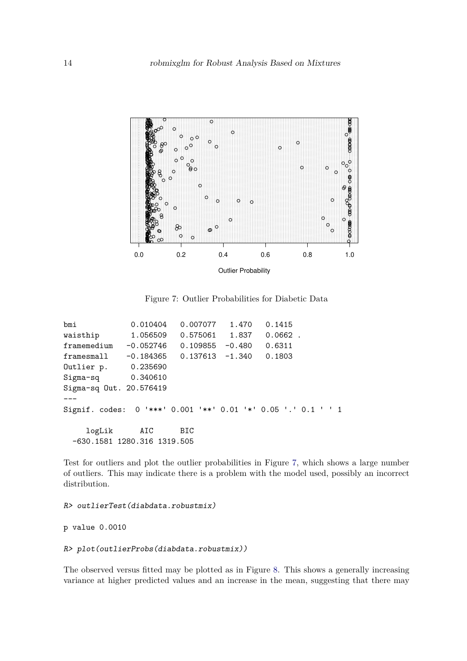

<span id="page-13-0"></span>Figure 7: Outlier Probabilities for Diabetic Data

| bmi                                                           | 0.010404  |     | 0.007077 1.470     | 0.1415     |  |  |
|---------------------------------------------------------------|-----------|-----|--------------------|------------|--|--|
| waisthip                                                      | 1.056509  |     | 0.575061 1.837     | $0.0662$ . |  |  |
| framemedium                                                   | -0.052746 |     | $0.109855 - 0.480$ | 0.6311     |  |  |
|                                                               |           |     |                    | 0.1803     |  |  |
| Outlier p. 0.235690                                           |           |     |                    |            |  |  |
| $Sigma-sq$ $0.340610$                                         |           |     |                    |            |  |  |
| Sigma-sq Out. 20.576419                                       |           |     |                    |            |  |  |
|                                                               |           |     |                    |            |  |  |
| Signif. codes: 0 '***' 0.001 '**' 0.01 '*' 0.05 '.' 0.1 ' ' 1 |           |     |                    |            |  |  |
|                                                               |           |     |                    |            |  |  |
| logLik                                                        | AIC       | BIC |                    |            |  |  |
| -630.1581 1280.316 1319.505                                   |           |     |                    |            |  |  |

Test for outliers and plot the outlier probabilities in Figure [7,](#page-13-0) which shows a large number of outliers. This may indicate there is a problem with the model used, possibly an incorrect distribution.

*R> outlierTest(diabdata.robustmix)*

p value 0.0010

```
R> plot(outlierProbs(diabdata.robustmix))
```
The observed versus fitted may be plotted as in Figure [8.](#page-14-0) This shows a generally increasing variance at higher predicted values and an increase in the mean, suggesting that there may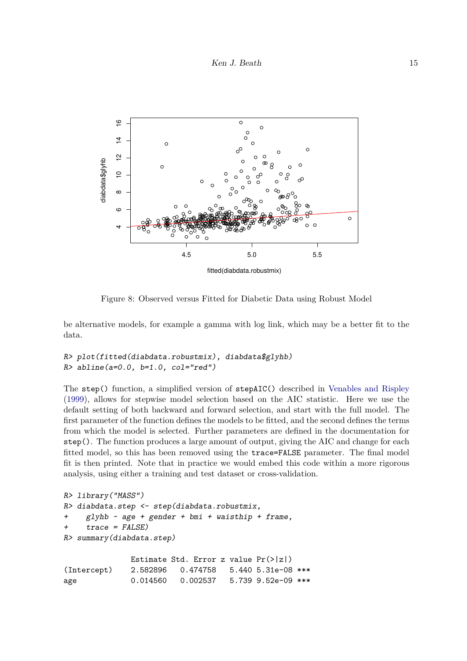

<span id="page-14-0"></span>Figure 8: Observed versus Fitted for Diabetic Data using Robust Model

be alternative models, for example a gamma with log link, which may be a better fit to the data.

```
R> plot(fitted(diabdata.robustmix), diabdata$glyhb)
R> abline(a=0.0, b=1.0, col="red")
```
The step() function, a simplified version of stepAIC() described in [Venables and Rispley](#page-17-9) [\(1999\)](#page-17-9), allows for stepwise model selection based on the AIC statistic. Here we use the default setting of both backward and forward selection, and start with the full model. The first parameter of the function defines the models to be fitted, and the second defines the terms from which the model is selected. Further parameters are defined in the documentation for step(). The function produces a large amount of output, giving the AIC and change for each fitted model, so this has been removed using the trace=FALSE parameter. The final model fit is then printed. Note that in practice we would embed this code within a more rigorous analysis, using either a training and test dataset or cross-validation.

```
R> library("MASS")
R> diabdata.step <- step(diabdata.robustmix,
+ glyhb ~ age + gender + bmi + waisthip + frame,
    + trace = FALSE)
R> summary(diabdata.step)
             Estimate Std. Error z value Pr(>|z|)
(Intercept) 2.582896 0.474758 5.440 5.31e-08 ***
age 0.014560 0.002537 5.739 9.52e-09 ***
```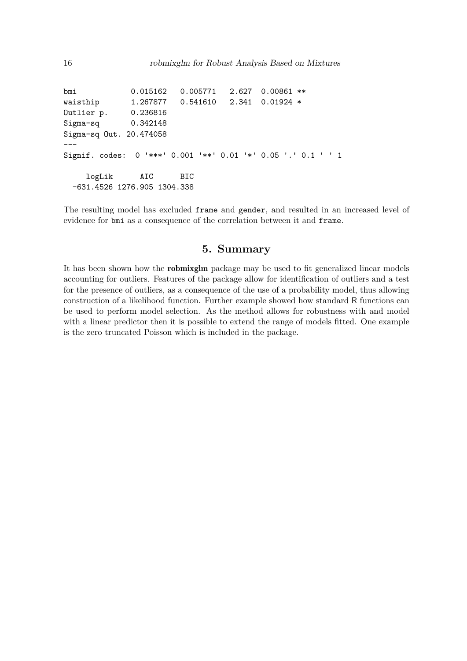bmi 0.015162 0.005771 2.627 0.00861 \*\* waisthip 1.267877 0.541610 2.341 0.01924 \* Outlier p. 0.236816 Sigma-sq 0.342148 Sigma-sq Out. 20.474058 --- Signif. codes: 0 '\*\*\*' 0.001 '\*\*' 0.01 '\*' 0.05 '.' 0.1 ' ' 1 logLik AIC BIC -631.4526 1276.905 1304.338

The resulting model has excluded frame and gender, and resulted in an increased level of evidence for bmi as a consequence of the correlation between it and frame.

### **5. Summary**

It has been shown how the **robmixglm** package may be used to fit generalized linear models accounting for outliers. Features of the package allow for identification of outliers and a test for the presence of outliers, as a consequence of the use of a probability model, thus allowing construction of a likelihood function. Further example showed how standard R functions can be used to perform model selection. As the method allows for robustness with and model with a linear predictor then it is possible to extend the range of models fitted. One example is the zero truncated Poisson which is included in the package.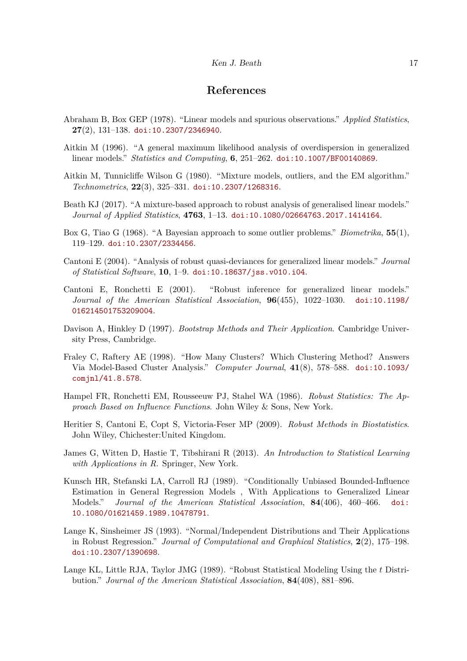#### Ken J. Beath 17

# **References**

- <span id="page-16-4"></span>Abraham B, Box GEP (1978). "Linear models and spurious observations." *Applied Statistics*, **27**(2), 131-138. [doi:10.2307/2346940](https://doi.org/10.2307/2346940).
- <span id="page-16-9"></span>Aitkin M (1996). "A general maximum likelihood analysis of overdispersion in generalized linear models.<sup>n</sup> Statistics and Computing, **6**, 251-262. [doi:10.1007/BF00140869](https://doi.org/10.1007/BF00140869).
- <span id="page-16-5"></span>Aitkin M, Tunnicliffe Wilson G (1980). "Mixture models, outliers, and the EM algorithm." *Technometrics*,  $22(3)$ ,  $325-331$ . [doi:10.2307/1268316](https://doi.org/10.2307/1268316).
- <span id="page-16-8"></span>Beath KJ (2017). "A mixture-based approach to robust analysis of generalised linear models." *Journal of Applied Statistics*, 4763, 1-13. [doi:10.1080/02664763.2017.1414164](https://doi.org/10.1080/02664763.2017.1414164).
- <span id="page-16-3"></span>Box G, Tiao G (1968). "A Bayesian approach to some outlier problems." *Biometrika*, **55**(1), 119-129. [doi:10.2307/2334456](https://doi.org/10.2307/2334456).
- <span id="page-16-2"></span>Cantoni E (2004). "Analysis of robust quasi-deviances for generalized linear models." *Journal of Statistical Software*, **10**, 1-9. [doi:10.18637/jss.v010.i04](https://doi.org/10.18637/jss.v010.i04).
- <span id="page-16-1"></span>Cantoni E, Ronchetti E (2001). "Robust inference for generalized linear models." *Journal of the American Statistical Association*, **96**(455), 1022–1030. [doi:10.1198/](https://doi.org/10.1198/016214501753209004) [016214501753209004](https://doi.org/10.1198/016214501753209004).
- <span id="page-16-13"></span>Davison A, Hinkley D (1997). *Bootstrap Methods and Their Application*. Cambridge University Press, Cambridge.
- <span id="page-16-14"></span>Fraley C, Raftery AE (1998). "How Many Clusters? Which Clustering Method? Answers Via Model-Based Cluster Analysis.<sup>"</sup> *Computer Journal*, **41**(8), 578–588. [doi:10.1093/](https://doi.org/10.1093/comjnl/41.8.578) [comjnl/41.8.578](https://doi.org/10.1093/comjnl/41.8.578).
- <span id="page-16-0"></span>Hampel FR, Ronchetti EM, Rousseeuw PJ, Stahel WA (1986). *Robust Statistics: The Approach Based on Influence Functions*. John Wiley & Sons, New York.
- <span id="page-16-11"></span>Heritier S, Cantoni E, Copt S, Victoria-Feser MP (2009). *Robust Methods in Biostatistics*. John Wiley, Chichester:United Kingdom.
- <span id="page-16-10"></span>James G, Witten D, Hastie T, Tibshirani R (2013). *An Introduction to Statistical Learning with Applications in R*. Springer, New York.
- <span id="page-16-12"></span>Kunsch HR, Stefanski LA, Carroll RJ (1989). "Conditionally Unbiased Bounded-Influence Estimation in General Regression Models , With Applications to Generalized Linear Models.<sup>n</sup> *Journal of the American Statistical Association*, **84**(406), 460–466. [doi:](https://doi.org/10.1080/01621459.1989.10478791) [10.1080/01621459.1989.10478791](https://doi.org/10.1080/01621459.1989.10478791).
- <span id="page-16-7"></span>Lange K, Sinsheimer JS (1993). "Normal/Independent Distributions and Their Applications in Robust Regression.<sup>n</sup> *Journal of Computational and Graphical Statistics*, **2**(2), 175–198. [doi:10.2307/1390698](https://doi.org/10.2307/1390698).
- <span id="page-16-6"></span>Lange KL, Little RJA, Taylor JMG (1989). "Robust Statistical Modeling Using the *t* Distribution.<sup>n</sup> *Journal of the American Statistical Association*, **84**(408), 881–896.